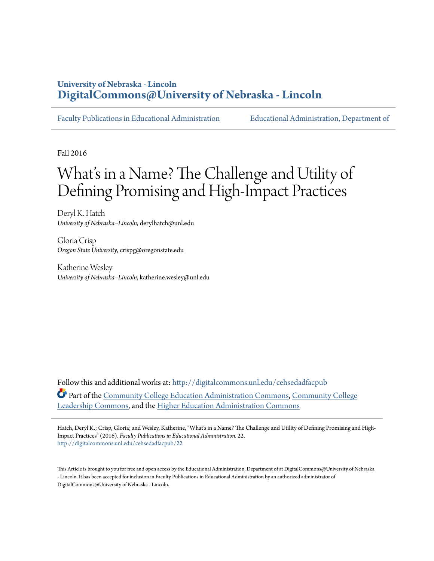### **University of Nebraska - Lincoln [DigitalCommons@University of Nebraska - Lincoln](http://digitalcommons.unl.edu?utm_source=digitalcommons.unl.edu%2Fcehsedadfacpub%2F22&utm_medium=PDF&utm_campaign=PDFCoverPages)**

[Faculty Publications in Educational Administration](http://digitalcommons.unl.edu/cehsedadfacpub?utm_source=digitalcommons.unl.edu%2Fcehsedadfacpub%2F22&utm_medium=PDF&utm_campaign=PDFCoverPages) [Educational Administration, Department of](http://digitalcommons.unl.edu/educ_admin?utm_source=digitalcommons.unl.edu%2Fcehsedadfacpub%2F22&utm_medium=PDF&utm_campaign=PDFCoverPages)

Fall 2016

# What's in a Name? The Challenge and Utility of Defining Promising and High-Impact Practices

Deryl K. Hatch *University of Nebraska–Lincoln*, derylhatch@unl.edu

Gloria Crisp *Oregon State University*, crispg@oregonstate.edu

Katherine Wesley *University of Nebraska–Lincoln*, katherine.wesley@unl.edu

Follow this and additional works at: [http://digitalcommons.unl.edu/cehsedadfacpub](http://digitalcommons.unl.edu/cehsedadfacpub?utm_source=digitalcommons.unl.edu%2Fcehsedadfacpub%2F22&utm_medium=PDF&utm_campaign=PDFCoverPages) Part of the [Community College Education Administration Commons](http://network.bepress.com/hgg/discipline/792?utm_source=digitalcommons.unl.edu%2Fcehsedadfacpub%2F22&utm_medium=PDF&utm_campaign=PDFCoverPages), [Community College](http://network.bepress.com/hgg/discipline/1039?utm_source=digitalcommons.unl.edu%2Fcehsedadfacpub%2F22&utm_medium=PDF&utm_campaign=PDFCoverPages) [Leadership Commons](http://network.bepress.com/hgg/discipline/1039?utm_source=digitalcommons.unl.edu%2Fcehsedadfacpub%2F22&utm_medium=PDF&utm_campaign=PDFCoverPages), and the [Higher Education Administration Commons](http://network.bepress.com/hgg/discipline/791?utm_source=digitalcommons.unl.edu%2Fcehsedadfacpub%2F22&utm_medium=PDF&utm_campaign=PDFCoverPages)

Hatch, Deryl K.; Crisp, Gloria; and Wesley, Katherine, "What's in a Name? The Challenge and Utility of Defining Promising and High-Impact Practices" (2016). *Faculty Publications in Educational Administration*. 22. [http://digitalcommons.unl.edu/cehsedadfacpub/22](http://digitalcommons.unl.edu/cehsedadfacpub/22?utm_source=digitalcommons.unl.edu%2Fcehsedadfacpub%2F22&utm_medium=PDF&utm_campaign=PDFCoverPages)

This Article is brought to you for free and open access by the Educational Administration, Department of at DigitalCommons@University of Nebraska - Lincoln. It has been accepted for inclusion in Faculty Publications in Educational Administration by an authorized administrator of DigitalCommons@University of Nebraska - Lincoln.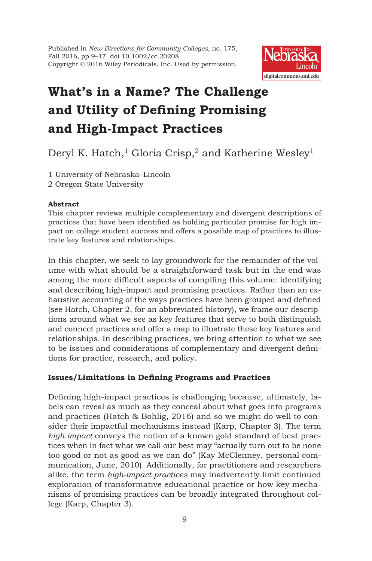

## **What's in a Name? The Challenge and Utility of Defining Promising and High-Impact Practices**

Deryl K. Hatch,<sup>1</sup> Gloria Crisp,<sup>2</sup> and Katherine Wesley<sup>1</sup>

1 University of Nebraska–Lincoln

2 Oregon State University

#### **Abstract**

This chapter reviews multiple complementary and divergent descriptions of practices that have been identified as holding particular promise for high impact on college student success and offers a possible map of practices to illustrate key features and relationships.

In this chapter, we seek to lay groundwork for the remainder of the volume with what should be a straightforward task but in the end was among the more difficult aspects of compiling this volume: identifying and describing high-impact and promising practices. Rather than an exhaustive accounting of the ways practices have been grouped and defined (see Hatch, Chapter 2, for an abbreviated history), we frame our descriptions around what we see as key features that serve to both distinguish and connect practices and offer a map to illustrate these key features and relationships. In describing practices, we bring attention to what we see to be issues and considerations of complementary and divergent definitions for practice, research, and policy.

#### **Issues/Limitations in Defining Programs and Practices**

Defining high-impact practices is challenging because, ultimately, labels can reveal as much as they conceal about what goes into programs and practices (Hatch & Bohlig, 2016) and so we might do well to consider their impactful mechanisms instead (Karp, Chapter 3). The term *high impact* conveys the notion of a known gold standard of best practices when in fact what we call our best may "actually turn out to be none too good or not as good as we can do" (Kay McClenney, personal communication, June, 2010). Additionally, for practitioners and researchers alike, the term *high-impact practices* may inadvertently limit continued exploration of transformative educational practice or how key mechanisms of promising practices can be broadly integrated throughout college (Karp, Chapter 3).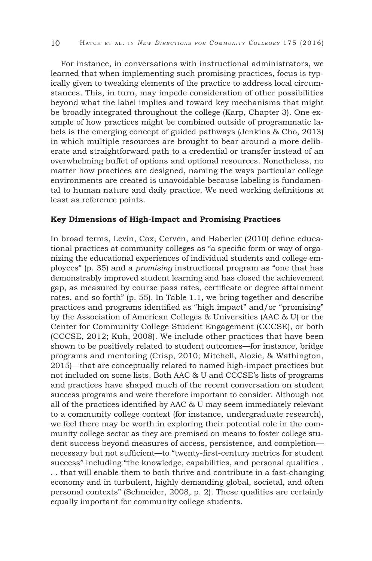For instance, in conversations with instructional administrators, we learned that when implementing such promising practices, focus is typically given to tweaking elements of the practice to address local circumstances. This, in turn, may impede consideration of other possibilities beyond what the label implies and toward key mechanisms that might be broadly integrated throughout the college (Karp, Chapter 3). One example of how practices might be combined outside of programmatic labels is the emerging concept of guided pathways (Jenkins & Cho, 2013) in which multiple resources are brought to bear around a more deliberate and straightforward path to a credential or transfer instead of an overwhelming buffet of options and optional resources. Nonetheless, no matter how practices are designed, naming the ways particular college environments are created is unavoidable because labeling is fundamental to human nature and daily practice. We need working definitions at least as reference points.

#### **Key Dimensions of High-Impact and Promising Practices**

In broad terms, Levin, Cox, Cerven, and Haberler (2010) define educational practices at community colleges as "a specific form or way of organizing the educational experiences of individual students and college employees" (p. 35) and a *promising* instructional program as "one that has demonstrably improved student learning and has closed the achievement gap, as measured by course pass rates, certificate or degree attainment rates, and so forth" (p. 55). In Table 1.1, we bring together and describe practices and programs identified as "high impact" and/or "promising" by the Association of American Colleges & Universities (AAC & U) or the Center for Community College Student Engagement (CCCSE), or both (CCCSE, 2012; Kuh, 2008). We include other practices that have been shown to be positively related to student outcomes—for instance, bridge programs and mentoring (Crisp, 2010; Mitchell, Alozie, & Wathington, 2015)—that are conceptually related to named high-impact practices but not included on some lists. Both AAC & U and CCCSE's lists of programs and practices have shaped much of the recent conversation on student success programs and were therefore important to consider. Although not all of the practices identified by AAC & U may seem immediately relevant to a community college context (for instance, undergraduate research), we feel there may be worth in exploring their potential role in the community college sector as they are premised on means to foster college student success beyond measures of access, persistence, and completion necessary but not sufficient—to "twenty-first-century metrics for student success" including "the knowledge, capabilities, and personal qualities . . . that will enable them to both thrive and contribute in a fast-changing economy and in turbulent, highly demanding global, societal, and often personal contexts" (Schneider, 2008, p. 2). These qualities are certainly equally important for community college students.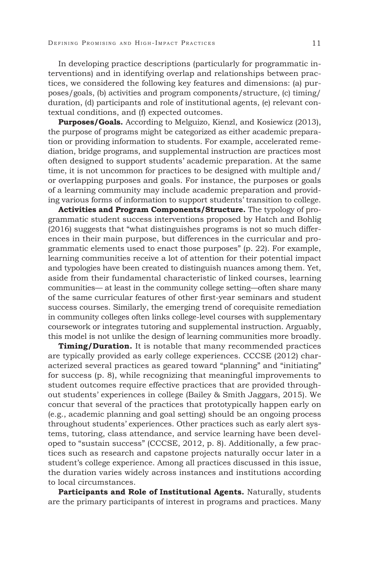In developing practice descriptions (particularly for programmatic interventions) and in identifying overlap and relationships between practices, we considered the following key features and dimensions: (a) purposes/goals, (b) activities and program components/structure, (c) timing/ duration, (d) participants and role of institutional agents, (e) relevant contextual conditions, and (f) expected outcomes.

**Purposes/Goals.** According to Melguizo, Kienzl, and Kosiewicz (2013), the purpose of programs might be categorized as either academic preparation or providing information to students. For example, accelerated remediation, bridge programs, and supplemental instruction are practices most often designed to support students' academic preparation. At the same time, it is not uncommon for practices to be designed with multiple and/ or overlapping purposes and goals. For instance, the purposes or goals of a learning community may include academic preparation and providing various forms of information to support students' transition to college.

**Activities and Program Components/Structure.** The typology of programmatic student success interventions proposed by Hatch and Bohlig (2016) suggests that "what distinguishes programs is not so much differences in their main purpose, but differences in the curricular and programmatic elements used to enact those purposes" (p. 22). For example, learning communities receive a lot of attention for their potential impact and typologies have been created to distinguish nuances among them. Yet, aside from their fundamental characteristic of linked courses, learning communities— at least in the community college setting—often share many of the same curricular features of other first-year seminars and student success courses. Similarly, the emerging trend of corequisite remediation in community colleges often links college-level courses with supplementary coursework or integrates tutoring and supplemental instruction. Arguably, this model is not unlike the design of learning communities more broadly.

**Timing/Duration.** It is notable that many recommended practices are typically provided as early college experiences. CCCSE (2012) characterized several practices as geared toward "planning" and "initiating" for success (p. 8), while recognizing that meaningful improvements to student outcomes require effective practices that are provided throughout students' experiences in college (Bailey & Smith Jaggars, 2015). We concur that several of the practices that prototypically happen early on (e.g., academic planning and goal setting) should be an ongoing process throughout students' experiences. Other practices such as early alert systems, tutoring, class attendance, and service learning have been developed to "sustain success" (CCCSE, 2012, p. 8). Additionally, a few practices such as research and capstone projects naturally occur later in a student's college experience. Among all practices discussed in this issue, the duration varies widely across instances and institutions according to local circumstances.

Participants and Role of Institutional Agents. Naturally, students are the primary participants of interest in programs and practices. Many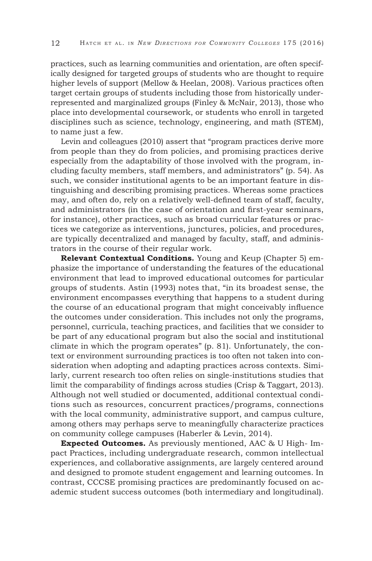practices, such as learning communities and orientation, are often specifically designed for targeted groups of students who are thought to require higher levels of support (Mellow & Heelan, 2008). Various practices often target certain groups of students including those from historically underrepresented and marginalized groups (Finley & McNair, 2013), those who place into developmental coursework, or students who enroll in targeted disciplines such as science, technology, engineering, and math (STEM), to name just a few.

Levin and colleagues (2010) assert that "program practices derive more from people than they do from policies, and promising practices derive especially from the adaptability of those involved with the program, including faculty members, staff members, and administrators" (p. 54). As such, we consider institutional agents to be an important feature in distinguishing and describing promising practices. Whereas some practices may, and often do, rely on a relatively well-defined team of staff, faculty, and administrators (in the case of orientation and first-year seminars, for instance), other practices, such as broad curricular features or practices we categorize as interventions, junctures, policies, and procedures, are typically decentralized and managed by faculty, staff, and administrators in the course of their regular work.

**Relevant Contextual Conditions.** Young and Keup (Chapter 5) emphasize the importance of understanding the features of the educational environment that lead to improved educational outcomes for particular groups of students. Astin (1993) notes that, "in its broadest sense, the environment encompasses everything that happens to a student during the course of an educational program that might conceivably influence the outcomes under consideration. This includes not only the programs, personnel, curricula, teaching practices, and facilities that we consider to be part of any educational program but also the social and institutional climate in which the program operates" (p. 81). Unfortunately, the context or environment surrounding practices is too often not taken into consideration when adopting and adapting practices across contexts. Similarly, current research too often relies on single-institutions studies that limit the comparability of findings across studies (Crisp & Taggart, 2013). Although not well studied or documented, additional contextual conditions such as resources, concurrent practices/programs, connections with the local community, administrative support, and campus culture, among others may perhaps serve to meaningfully characterize practices on community college campuses (Haberler & Levin, 2014).

**Expected Outcomes.** As previously mentioned, AAC & U High- Impact Practices, including undergraduate research, common intellectual experiences, and collaborative assignments, are largely centered around and designed to promote student engagement and learning outcomes. In contrast, CCCSE promising practices are predominantly focused on academic student success outcomes (both intermediary and longitudinal).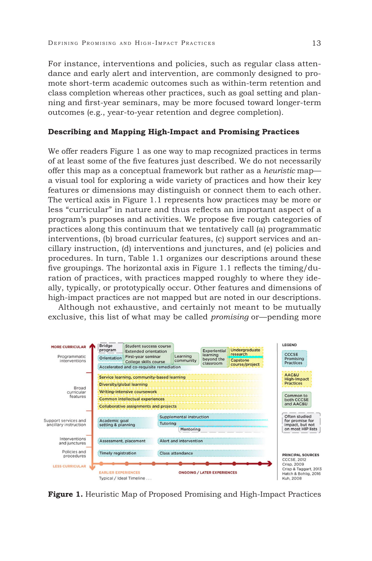For instance, interventions and policies, such as regular class attendance and early alert and intervention, are commonly designed to promote short-term academic outcomes such as within-term retention and class completion whereas other practices, such as goal setting and planning and first-year seminars, may be more focused toward longer-term outcomes (e.g., year-to-year retention and degree completion).

#### **Describing and Mapping High-Impact and Promising Practices**

We offer readers Figure 1 as one way to map recognized practices in terms of at least some of the five features just described. We do not necessarily offer this map as a conceptual framework but rather as a *heuristic* map a visual tool for exploring a wide variety of practices and how their key features or dimensions may distinguish or connect them to each other. The vertical axis in Figure 1.1 represents how practices may be more or less "curricular" in nature and thus reflects an important aspect of a program's purposes and activities. We propose five rough categories of practices along this continuum that we tentatively call (a) programmatic interventions, (b) broad curricular features, (c) support services and ancillary instruction, (d) interventions and junctures, and (e) policies and procedures. In turn, Table 1.1 organizes our descriptions around these five groupings. The horizontal axis in Figure 1.1 reflects the timing/duration of practices, with practices mapped roughly to where they ideally, typically, or prototypically occur. Other features and dimensions of high-impact practices are not mapped but are noted in our descriptions.

Although not exhaustive, and certainly not meant to be mutually exclusive, this list of what may be called *promising* or—pending more



**Figure 1.** Heuristic Map of Proposed Promising and High-Impact Practices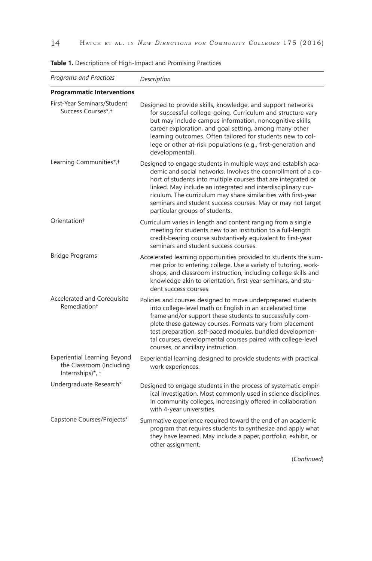| <b>Programs and Practices</b>                                                | Description                                                                                                                                                                                                                                                                                                                                                                                                                          |
|------------------------------------------------------------------------------|--------------------------------------------------------------------------------------------------------------------------------------------------------------------------------------------------------------------------------------------------------------------------------------------------------------------------------------------------------------------------------------------------------------------------------------|
| <b>Programmatic Interventions</b>                                            |                                                                                                                                                                                                                                                                                                                                                                                                                                      |
| First-Year Seminars/Student<br>Success Courses*. <sup>+</sup>                | Designed to provide skills, knowledge, and support networks<br>for successful college-going. Curriculum and structure vary<br>but may include campus information, noncognitive skills,<br>career exploration, and goal setting, among many other<br>learning outcomes. Often tailored for students new to col-<br>lege or other at-risk populations (e.g., first-generation and<br>developmental).                                   |
| Learning Communities*,+                                                      | Designed to engage students in multiple ways and establish aca-<br>demic and social networks. Involves the coenrollment of a co-<br>hort of students into multiple courses that are integrated or<br>linked. May include an integrated and interdisciplinary cur-<br>riculum. The curriculum may share similarities with first-year<br>seminars and student success courses. May or may not target<br>particular groups of students. |
| Orientationt                                                                 | Curriculum varies in length and content ranging from a single<br>meeting for students new to an institution to a full-length<br>credit-bearing course substantively equivalent to first-year<br>seminars and student success courses.                                                                                                                                                                                                |
| <b>Bridge Programs</b>                                                       | Accelerated learning opportunities provided to students the sum-<br>mer prior to entering college. Use a variety of tutoring, work-<br>shops, and classroom instruction, including college skills and<br>knowledge akin to orientation, first-year seminars, and stu-<br>dent success courses.                                                                                                                                       |
| Accelerated and Corequisite<br>Remediation <sup>+</sup>                      | Policies and courses designed to move underprepared students<br>into college-level math or English in an accelerated time<br>frame and/or support these students to successfully com-<br>plete these gateway courses. Formats vary from placement<br>test preparation, self-paced modules, bundled developmen-<br>tal courses, developmental courses paired with college-level<br>courses, or ancillary instruction.                 |
| Experiential Learning Beyond<br>the Classroom (Including<br>Internships)*, + | Experiential learning designed to provide students with practical<br>work experiences.                                                                                                                                                                                                                                                                                                                                               |
| Undergraduate Research*                                                      | Designed to engage students in the process of systematic empir-<br>ical investigation. Most commonly used in science disciplines.<br>In community colleges, increasingly offered in collaboration<br>with 4-year universities.                                                                                                                                                                                                       |
| Capstone Courses/Projects*                                                   | Summative experience required toward the end of an academic<br>program that requires students to synthesize and apply what<br>they have learned. May include a paper, portfolio, exhibit, or<br>other assignment.                                                                                                                                                                                                                    |

**Table 1.** Descriptions of High-Impact and Promising Practices

(*Continued*)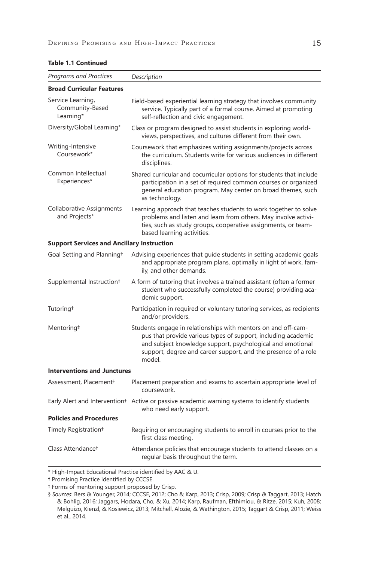#### **Table 1.1 Continued**

| Programs and Practices                            | Description                                                                                                                                                                                                                                                              |
|---------------------------------------------------|--------------------------------------------------------------------------------------------------------------------------------------------------------------------------------------------------------------------------------------------------------------------------|
| <b>Broad Curricular Features</b>                  |                                                                                                                                                                                                                                                                          |
| Service Learning,<br>Community-Based<br>Learning* | Field-based experiential learning strategy that involves community<br>service. Typically part of a formal course. Aimed at promoting<br>self-reflection and civic engagement.                                                                                            |
| Diversity/Global Learning*                        | Class or program designed to assist students in exploring world-<br>views, perspectives, and cultures different from their own.                                                                                                                                          |
| Writing-Intensive<br>Coursework*                  | Coursework that emphasizes writing assignments/projects across<br>the curriculum. Students write for various audiences in different<br>disciplines.                                                                                                                      |
| Common Intellectual<br>Experiences*               | Shared curricular and cocurricular options for students that include<br>participation in a set of required common courses or organized<br>general education program. May center on broad themes, such<br>as technology.                                                  |
| <b>Collaborative Assignments</b><br>and Projects* | Learning approach that teaches students to work together to solve<br>problems and listen and learn from others. May involve activi-<br>ties, such as study groups, cooperative assignments, or team-<br>based learning activities.                                       |
| <b>Support Services and Ancillary Instruction</b> |                                                                                                                                                                                                                                                                          |
| Goal Setting and Planning+                        | Advising experiences that guide students in setting academic goals<br>and appropriate program plans, optimally in light of work, fam-<br>ily, and other demands.                                                                                                         |
| Supplemental Instruction <sup>+</sup>             | A form of tutoring that involves a trained assistant (often a former<br>student who successfully completed the course) providing aca-<br>demic support.                                                                                                                  |
| Tutoring <sup>+</sup>                             | Participation in required or voluntary tutoring services, as recipients<br>and/or providers.                                                                                                                                                                             |
| Mentoring#                                        | Students engage in relationships with mentors on and off-cam-<br>pus that provide various types of support, including academic<br>and subject knowledge support, psychological and emotional<br>support, degree and career support, and the presence of a role<br>model. |
| <b>Interventions and Junctures</b>                |                                                                                                                                                                                                                                                                          |
| Assessment, Placement+                            | Placement preparation and exams to ascertain appropriate level of<br>coursework.                                                                                                                                                                                         |
| Early Alert and Intervention+                     | Active or passive academic warning systems to identify students<br>who need early support.                                                                                                                                                                               |
| <b>Policies and Procedures</b>                    |                                                                                                                                                                                                                                                                          |
| Timely Registration <sup>+</sup>                  | Requiring or encouraging students to enroll in courses prior to the<br>first class meeting.                                                                                                                                                                              |
| Class Attendancet                                 | Attendance policies that encourage students to attend classes on a<br>regular basis throughout the term.                                                                                                                                                                 |

\* High-Impact Educational Practice identified by AAC & U.

† Promising Practice identified by CCCSE.

‡ Forms of mentoring support proposed by Crisp.

§ *Sources*: Bers & Younger, 2014; CCCSE, 2012; Cho & Karp, 2013; Crisp, 2009; Crisp & Taggart, 2013; Hatch & Bohlig, 2016; Jaggars, Hodara, Cho, & Xu, 2014; Karp, Raufman, Efthimiou, & Ritze, 2015; Kuh, 2008; Melguizo, Kienzl, & Kosiewicz, 2013; Mitchell, Alozie, & Wathington, 2015; Taggart & Crisp, 2011; Weiss et al., 2014.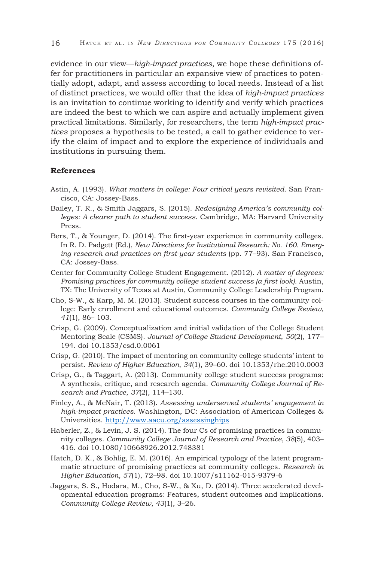evidence in our view—*high-impact practices*, we hope these definitions offer for practitioners in particular an expansive view of practices to potentially adopt, adapt, and assess according to local needs. Instead of a list of distinct practices, we would offer that the idea of *high-impact practices*  is an invitation to continue working to identify and verify which practices are indeed the best to which we can aspire and actually implement given practical limitations. Similarly, for researchers, the term *high-impact practices* proposes a hypothesis to be tested, a call to gather evidence to verify the claim of impact and to explore the experience of individuals and institutions in pursuing them.

#### **References**

- Astin, A. (1993). *What matters in college: Four critical years revisited*. San Francisco, CA: Jossey-Bass.
- Bailey, T. R., & Smith Jaggars, S. (2015). *Redesigning America's community colleges: A clearer path to student success*. Cambridge, MA: Harvard University Press.
- Bers, T., & Younger, D. (2014). The first-year experience in community colleges. In R. D. Padgett (Ed.), *New Directions for Institutional Research: No. 160. Emerging research and practices on first-year students* (pp. 77–93). San Francisco, CA: Jossey-Bass.
- Center for Community College Student Engagement. (2012). *A matter of degrees: Promising practices for community college student success (a first look)*. Austin, TX: The University of Texas at Austin, Community College Leadership Program.
- Cho, S-W., & Karp, M. M. (2013). Student success courses in the community college: Early enrollment and educational outcomes. *Community College Review*, *41*(1), 86– 103.
- Crisp, G. (2009). Conceptualization and initial validation of the College Student Mentoring Scale (CSMS). *Journal of College Student Development*, *50*(2), 177– 194. doi 10.1353/csd.0.0061
- Crisp, G. (2010). The impact of mentoring on community college students' intent to persist. *Review of Higher Education*, *34*(1), 39–60. doi 10.1353/rhe.2010.0003
- Crisp, G., & Taggart, A. (2013). Community college student success programs: A synthesis, critique, and research agenda. *Community College Journal of Research and Practice*, *37*(2), 114–130.
- Finley, A., & McNair, T. (2013). *Assessing underserved students' engagement in high-impact practices*. Washington, DC: Association of American Colleges & Universities. <http://www.aacu.org/assessinghips>
- Haberler, Z., & Levin, J. S. (2014). The four Cs of promising practices in community colleges. *Community College Journal of Research and Practice*, *38*(5), 403– 416. doi 10.1080/10668926.2012.748381
- Hatch, D. K., & Bohlig, E. M. (2016). An empirical typology of the latent programmatic structure of promising practices at community colleges. *Research in Higher Education*, *57*(1), 72–98. doi 10.1007/s11162-015-9379-6
- Jaggars, S. S., Hodara, M., Cho, S-W., & Xu, D. (2014). Three accelerated developmental education programs: Features, student outcomes and implications. *Community College Review*, *43*(1), 3–26.